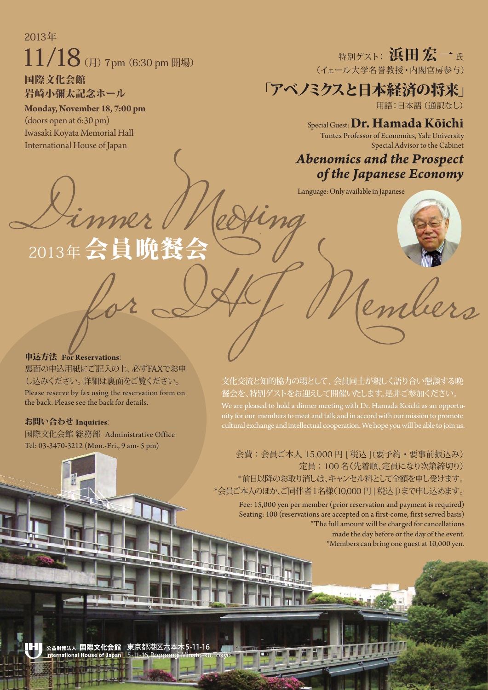## 2013年  $11/18$  (月) 7pm (6:30 pm 開場)

国際文化会館 岩崎小彌太記念ホール

**Monday, November 18, 7:00 pm**  (doors open at 6:30 pm) Iwasaki Koyata Memorial Hall International House of Japan

特別ゲスト: 浜田宏一氏 (イェール大学名誉教授・内閣官房参与)

「アベノミクスと日本経済の将来」

用語:日本語(通訳なし)

Special Guest:**Dr. Hamada Kōichi** 

Tuntex Professor of Economics, Yale University Special Advisor to the Cabinet

## *Abenomics and the Prospect of the Japanese Economy*

Dinner Medfing Conly available in Japanese 2013年会員晩餐会 Vembers

申込方法 **For Reservations**:

裏面の申込用紙にご記入の上、必ずFAXでお申 し込みください。詳細は裏面をご覧ください。 Please reserve by fax using the reservation form on the back. Please see the back for details.

お問い合わせ **Inquiries**:

国際文化会館 総務部 Administrative Office Tel: 03-3470-3212 (Mon.-Fri., 9 am- 5 pm)

文化交流と知的協力の場として、会員同士が親しく語り合い懇談する晩 餐会を、特別ゲストをお迎えして開催いたします。是非ご参加ください。 We are pleased to hold a dinner meeting with Dr. Hamada Koichi as an opportucultural exchange and intellectual cooperation. We hope you will be able to join us.

会費:会員ご本人 15,000 円 [ 税込 ](要予約・要事前振込み) 定員:100 名(先着順、定員になり次第締切り) \*前日以降のお取り消しは、キャンセル料として全額を申し受けます。 \*会員ご本人のほか、ご同伴者1名様(10,000 円 [ 税込 ])まで申し込めます。

Fee: 15,000 yen per member (prior reservation and payment is required) Seating: 100 (reservations are accepted on a first-come, first-served basis) \*The full amount will be charged for cancellations made the day before or the day of the event. \*Members can bring one guest at 10,000 yen.

 $-11-16$ 公益財団法人 国際文化会館 International H 5-11-16,Roppongi Minato-ku, Tokyo